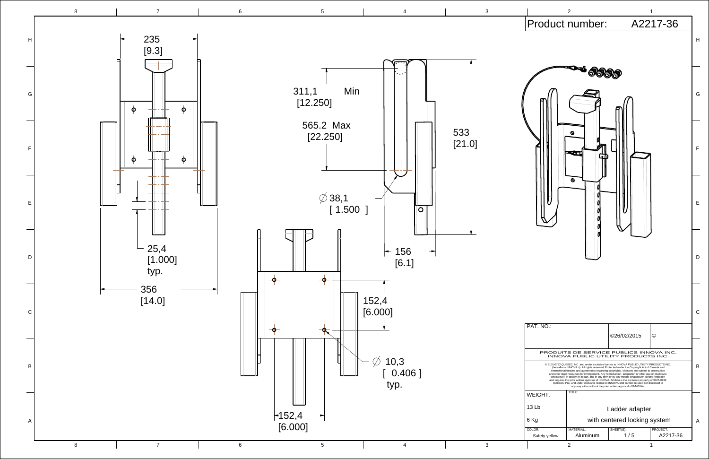

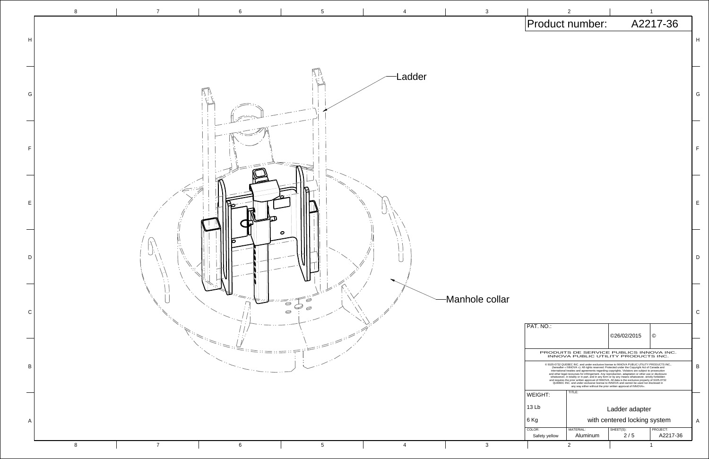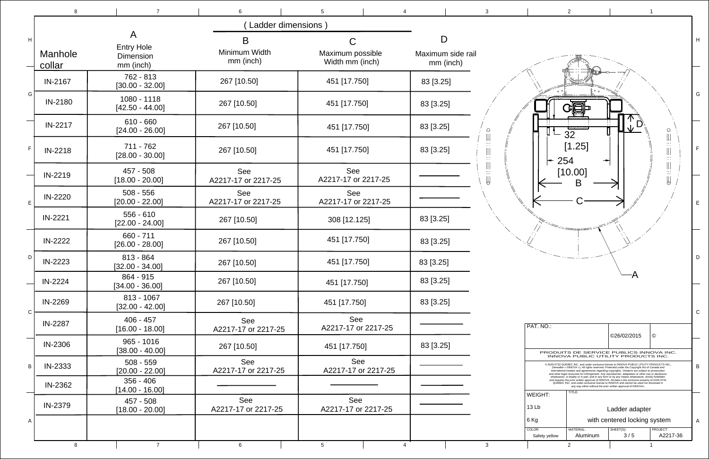

|              | 8                 | $\overline{7}$                                          | 6                                 | 5                                        | $\mathbf{3}$                                                                                                 |
|--------------|-------------------|---------------------------------------------------------|-----------------------------------|------------------------------------------|--------------------------------------------------------------------------------------------------------------|
|              |                   |                                                         |                                   |                                          |                                                                                                              |
| H            | Manhole<br>collar | A<br><b>Entry Hole</b><br><b>Dimension</b><br>mm (inch) | B<br>Minimum Width<br>mm (inch)   | C<br>Maximum possible<br>Width mm (inch) | D<br>Maximum side rail<br>mm (inch)                                                                          |
| G            | IN-2167           | 762 - 813<br>$[30.00 - 32.00]$                          | 267 [10.50]                       | 451 [17.750]                             | 83 [3.25]                                                                                                    |
|              | IN-2180           | 1080 - 1118<br>$[42.50 - 44.00]$                        | 267 [10.50]                       | 451 [17.750]                             | 83 [3.25]                                                                                                    |
|              | IN-2217           | $610 - 660$<br>$[24.00 - 26.00]$                        | 267 [10.50]                       | 451 [17.750]                             | 83 [3.25]<br>$\hbox{$\bigcirc$}$                                                                             |
| F            | <b>IN-2218</b>    | 711 - 762<br>$[28.00 - 30.00]$                          | 267 [10.50]                       | 451 [17.750]                             | $\left \left \right \right $<br>щ<br>83 [3.25]<br>$\mathbb{Z}^*$                                             |
|              | IN-2219           | 457 - 508<br>$[18.00 - 20.00]$                          | <b>See</b><br>A2217-17 or 2217-25 | <b>See</b><br>A2217-17 or 2217-25        | $\left\lvert \right\rvert$<br>$\begin{aligned} \widehat{\mathbf{H}}_{\text{max}} = \mathbf{H} \end{aligned}$ |
| E            | IN-2220           | $508 - 556$<br>$[20.00 - 22.00]$                        | See<br>A2217-17 or 2217-25        | See<br>A2217-17 or 2217-25               |                                                                                                              |
|              | IN-2221           | $556 - 610$<br>$[22.00 - 24.00]$                        | 267 [10.50]                       | 308 [12.125]                             | 83 [3.25]                                                                                                    |
| D            | IN-2222           | 660 - 711<br>$[26.00 - 28.00]$                          | 267 [10.50]                       | 451 [17.750]                             | 83 [3.25]                                                                                                    |
|              | IN-2223           | 813 - 864<br>$[32.00 - 34.00]$                          | 267 [10.50]                       | 451 [17.750]                             | 83 [3.25]                                                                                                    |
|              | IN-2224           | 864 - 915<br>$[34.00 - 36.00]$                          | 267 [10.50]                       | 451 [17.750]                             | 83 [3.25]                                                                                                    |
| $\mathsf{C}$ | IN-2269           | 813 - 1067<br>$[32.00 - 42.00]$                         | 267 [10.50]                       | 451 [17.750]                             | 83 [3.25]                                                                                                    |
|              | IN-2287           | $406 - 457$<br>$[16.00 - 18.00]$                        | See<br>A2217-17 or 2217-25        | See<br>A2217-17 or 2217-25               |                                                                                                              |
|              | IN-2306           | $965 - 1016$<br>$[38.00 - 40.00]$                       | 267 [10.50]                       | 451 [17.750]                             | 83 [3.25]                                                                                                    |
| B            | IN-2333           | $508 - 559$<br>$[20.00 - 22.00]$                        | See<br>A2217-17 or 2217-25        | See<br>A2217-17 or 2217-25               |                                                                                                              |
|              | IN-2362           | $356 - 406$<br>$[14.00 - 16.00]$                        |                                   |                                          |                                                                                                              |
|              | IN-2379           | 457 - 508<br>$[18.00 - 20.00]$                          | See<br>A2217-17 or 2217-25        | See<br>A2217-17 or 2217-25               |                                                                                                              |
| A            |                   |                                                         |                                   |                                          |                                                                                                              |
|              | 8                 | $\overline{7}$                                          | 6                                 | $5\phantom{.0}$<br>4                     | 3 <sup>7</sup>                                                                                               |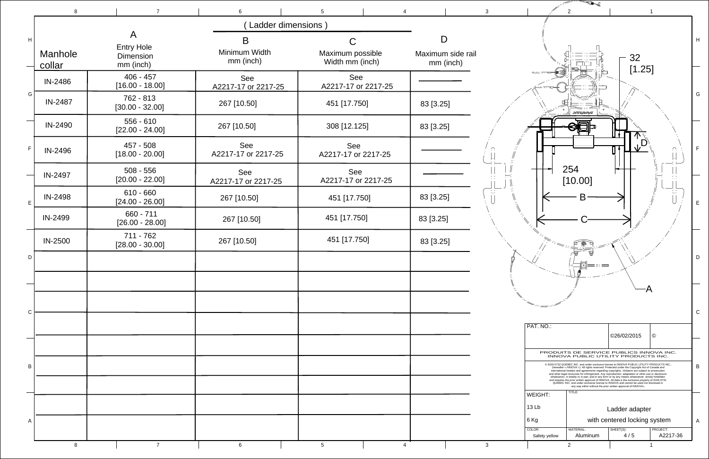

|   | 8                 | $\overline{7}$                   | 6                          | 5                                   |                                | $\overline{2}$<br>3                                                                                                                                                                                                                                                                                                                                                                                                                                          |
|---|-------------------|----------------------------------|----------------------------|-------------------------------------|--------------------------------|--------------------------------------------------------------------------------------------------------------------------------------------------------------------------------------------------------------------------------------------------------------------------------------------------------------------------------------------------------------------------------------------------------------------------------------------------------------|
|   |                   |                                  | Ladder dimensions)         |                                     |                                |                                                                                                                                                                                                                                                                                                                                                                                                                                                              |
| H |                   | A<br><b>Entry Hole</b>           | B                          | C.                                  | D                              |                                                                                                                                                                                                                                                                                                                                                                                                                                                              |
|   | Manhole<br>collar | Dimension<br>mm (inch)           | Minimum Width<br>mm (inch) | Maximum possible<br>Width mm (inch) | Maximum side rail<br>mm (inch) | 32<br>[1.25]                                                                                                                                                                                                                                                                                                                                                                                                                                                 |
|   | IN-2486           | $406 - 457$<br>$[16.00 - 18.00]$ | See<br>A2217-17 or 2217-25 | See<br>A2217-17 or 2217-25          |                                |                                                                                                                                                                                                                                                                                                                                                                                                                                                              |
| G | IN-2487           | 762 - 813<br>$[30.00 - 32.00]$   | 267 [10.50]                | 451 [17.750]                        | 83 [3.25]                      | XVIRPA                                                                                                                                                                                                                                                                                                                                                                                                                                                       |
|   | IN-2490           | $556 - 610$<br>$[22.00 - 24.00]$ | 267 [10.50]                | 308 [12.125]                        | 83 [3.25]                      |                                                                                                                                                                                                                                                                                                                                                                                                                                                              |
| F | IN-2496           | 457 - 508<br>$[18.00 - 20.00]$   | See<br>A2217-17 or 2217-25 | See<br>A2217-17 or 2217-25          |                                | $\sqrt{D^3}$                                                                                                                                                                                                                                                                                                                                                                                                                                                 |
|   | IN-2497           | $508 - 556$<br>$[20.00 - 22.00]$ | See<br>A2217-17 or 2217-25 | See<br>A2217-17 or 2217-25          |                                | 254<br>[10.00]                                                                                                                                                                                                                                                                                                                                                                                                                                               |
| E | <b>IN-2498</b>    | $610 - 660$<br>$[24.00 - 26.00]$ | 267 [10.50]                | 451 [17.750]                        | 83 [3.25]                      | 菁<br>Β                                                                                                                                                                                                                                                                                                                                                                                                                                                       |
|   | IN-2499           | 660 - 711<br>$[26.00 - 28.00]$   | 267 [10.50]                | 451 [17.750]                        | 83 [3.25]                      |                                                                                                                                                                                                                                                                                                                                                                                                                                                              |
|   | <b>IN-2500</b>    | 711 - 762<br>$[28.00 - 30.00]$   | 267 [10.50]                | 451 [17.750]                        | 83 [3.25]                      |                                                                                                                                                                                                                                                                                                                                                                                                                                                              |
| D |                   |                                  |                            |                                     |                                |                                                                                                                                                                                                                                                                                                                                                                                                                                                              |
|   |                   |                                  |                            |                                     |                                |                                                                                                                                                                                                                                                                                                                                                                                                                                                              |
| C |                   |                                  |                            |                                     |                                |                                                                                                                                                                                                                                                                                                                                                                                                                                                              |
|   |                   |                                  |                            |                                     |                                | PAT. NO.:<br>©26/02/2015                                                                                                                                                                                                                                                                                                                                                                                                                                     |
|   |                   |                                  |                            |                                     |                                | PRODUITS DE SERVICE PUBLICS INNO<br>INNOVA PUBLIC UTILITY PRODUCTS                                                                                                                                                                                                                                                                                                                                                                                           |
| B |                   |                                  |                            |                                     |                                | @ 9105-0732 QUEBEC INC. and under exclusive license to INNOVA PUBLIC UTILITY PR<br>(hereafter « INNOVA »). All rights reserved. Protected under the Copyright Act of Car<br>international treaties and agreements regarding copyrights. Violators are subject to pro<br>and other legal recourses for infringement. Any reproduction, adaptation or other use or<br>whatsoever, in totality or in part, and in any form or by any means whatsoever, strictly |
|   |                   |                                  |                            |                                     |                                | and requires the prior written approval of INNOVA. All data is the exclusive property of<br>QUEBEC INC. and under exclusive license to INNOVA and cannot be used nor disc<br>any way either without the prior written approval of INNOVA».<br>TITLE:<br>WEIGHT:                                                                                                                                                                                              |
|   |                   |                                  |                            |                                     |                                | 13 Lb<br>Ladder adapter                                                                                                                                                                                                                                                                                                                                                                                                                                      |
| A |                   |                                  |                            |                                     |                                | with centered locking s<br>  6 Kg<br>COLOR:<br>MATERIAL:                                                                                                                                                                                                                                                                                                                                                                                                     |
|   |                   |                                  |                            |                                     |                                | SHEET(S):<br>4/5<br>Aluminum<br>Safety yellow                                                                                                                                                                                                                                                                                                                                                                                                                |
|   | 8                 | $\overline{7}$                   | 6                          | 5                                   |                                | $\mathbf{3}$<br>$\overline{2}$                                                                                                                                                                                                                                                                                                                                                                                                                               |